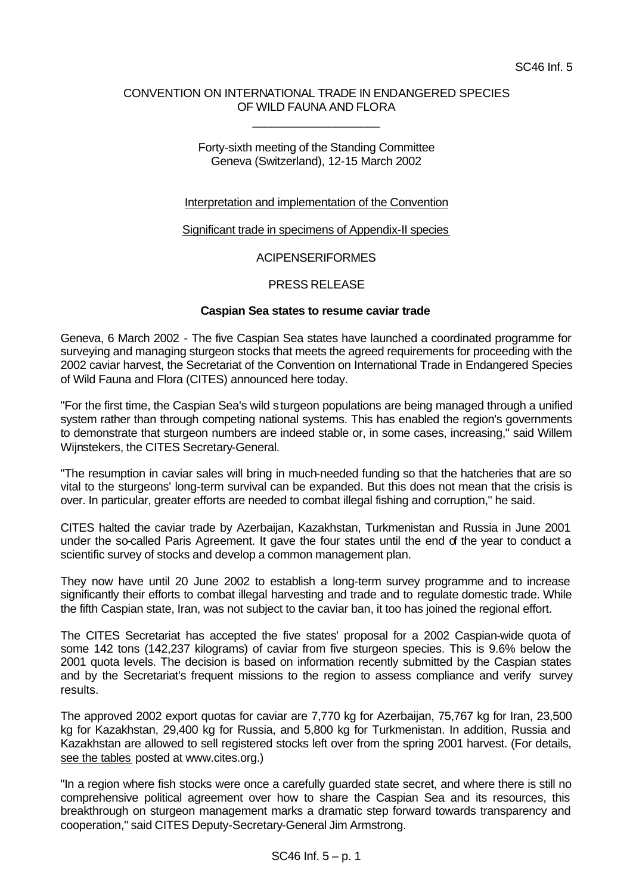### CONVENTION ON INTERNATIONAL TRADE IN ENDANGERED SPECIES OF WILD FAUNA AND FLORA

\_\_\_\_\_\_\_\_\_\_\_\_\_\_\_\_\_\_\_\_

### Forty-sixth meeting of the Standing Committee Geneva (Switzerland), 12-15 March 2002

# Interpretation and implementation of the Convention

### Significant trade in specimens of Appendix-II species

# ACIPENSERIFORMES

# PRESS RELEASE

### **Caspian Sea states to resume caviar trade**

Geneva, 6 March 2002 - The five Caspian Sea states have launched a coordinated programme for surveying and managing sturgeon stocks that meets the agreed requirements for proceeding with the 2002 caviar harvest, the Secretariat of the Convention on International Trade in Endangered Species of Wild Fauna and Flora (CITES) announced here today.

"For the first time, the Caspian Sea's wild sturgeon populations are being managed through a unified system rather than through competing national systems. This has enabled the region's governments to demonstrate that sturgeon numbers are indeed stable or, in some cases, increasing," said Willem Wijnstekers, the CITES Secretary-General.

"The resumption in caviar sales will bring in much-needed funding so that the hatcheries that are so vital to the sturgeons' long-term survival can be expanded. But this does not mean that the crisis is over. In particular, greater efforts are needed to combat illegal fishing and corruption," he said.

CITES halted the caviar trade by Azerbaijan, Kazakhstan, Turkmenistan and Russia in June 2001 under the so-called Paris Agreement. It gave the four states until the end of the year to conduct a scientific survey of stocks and develop a common management plan.

They now have until 20 June 2002 to establish a long-term survey programme and to increase significantly their efforts to combat illegal harvesting and trade and to regulate domestic trade. While the fifth Caspian state, Iran, was not subject to the caviar ban, it too has joined the regional effort.

The CITES Secretariat has accepted the five states' proposal for a 2002 Caspian-wide quota of some 142 tons (142,237 kilograms) of caviar from five sturgeon species. This is 9.6% below the 2001 quota levels. The decision is based on information recently submitted by the Caspian states and by the Secretariat's frequent missions to the region to assess compliance and verify survey results.

The approved 2002 export quotas for caviar are 7,770 kg for Azerbaijan, 75,767 kg for Iran, 23,500 kg for Kazakhstan, 29,400 kg for Russia, and 5,800 kg for Turkmenistan. In addition, Russia and Kazakhstan are allowed to sell registered stocks left over from the spring 2001 harvest. (For details, see the tables posted at www.cites.org.)

"In a region where fish stocks were once a carefully guarded state secret, and where there is still no comprehensive political agreement over how to share the Caspian Sea and its resources, this breakthrough on sturgeon management marks a dramatic step forward towards transparency and cooperation," said CITES Deputy-Secretary-General Jim Armstrong.